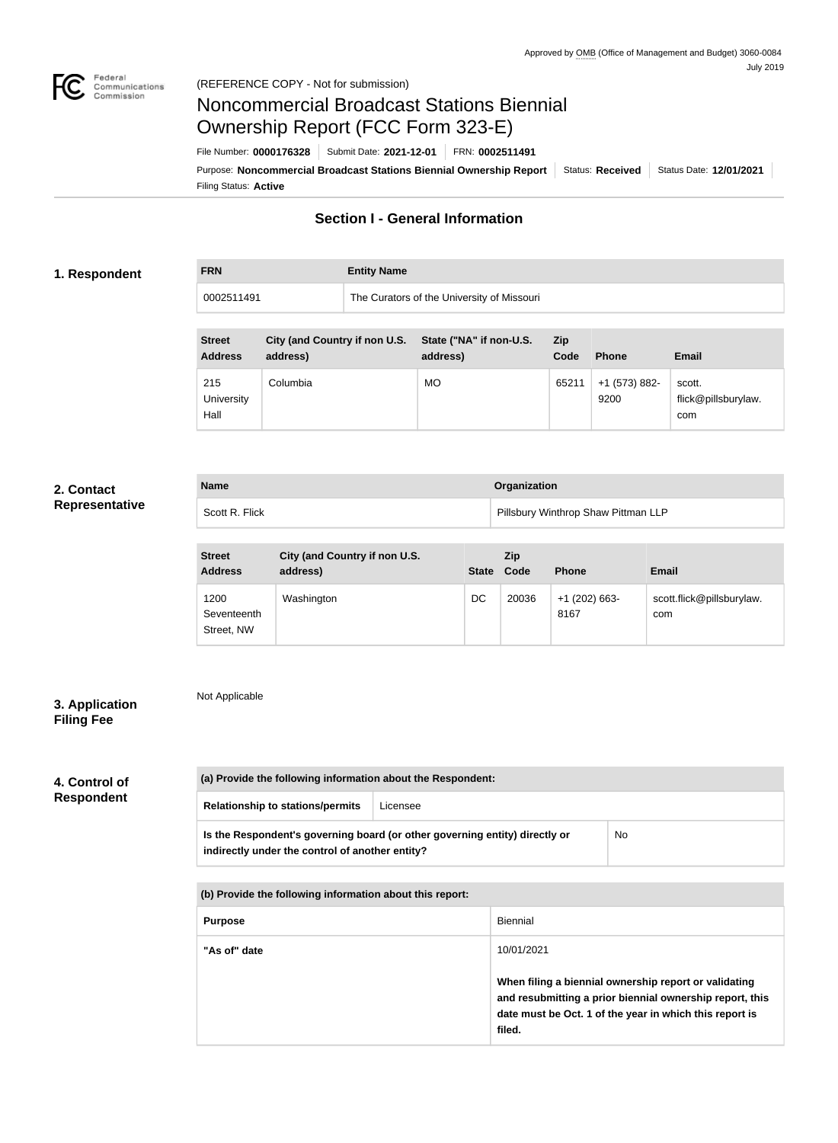

# Noncommercial Broadcast Stations Biennial Ownership Report (FCC Form 323-E)

Filing Status: **Active** Purpose: Noncommercial Broadcast Stations Biennial Ownership Report | Status: Received | Status Date: 12/01/2021 File Number: **0000176328** Submit Date: **2021-12-01** FRN: **0002511491**

# **Section I - General Information**

#### **1. Respondent**

# **FRN Entity Name**

| 0002511491 | The Curators of the University of Missouri |
|------------|--------------------------------------------|
|            |                                            |

| <b>Street</b><br><b>Address</b> | City (and Country if non U.S.<br>address) | State ("NA" if non-U.S.<br>address) | <b>Zip</b><br>Code | Phone                 | <b>Email</b>                         |
|---------------------------------|-------------------------------------------|-------------------------------------|--------------------|-----------------------|--------------------------------------|
| 215<br>University<br>Hall       | Columbia                                  | MO                                  | 65211              | +1 (573) 882-<br>9200 | scott.<br>flick@pillsburylaw.<br>com |

#### **2. Contact Representative**

| <b>Name</b>    | Organization                        |
|----------------|-------------------------------------|
| Scott R. Flick | Pillsbury Winthrop Shaw Pittman LLP |

| <b>Street</b><br><b>Address</b>   | City (and Country if non U.S.<br>address) | <b>State</b> | Zip<br>Code | <b>Phone</b>            | <b>Email</b>                     |
|-----------------------------------|-------------------------------------------|--------------|-------------|-------------------------|----------------------------------|
| 1200<br>Seventeenth<br>Street, NW | Washington                                | DC           | 20036       | $+1$ (202) 663-<br>8167 | scott.flick@pillsburylaw.<br>com |

### **3. Application Filing Fee**

Not Applicable

### **4. Control of Respondent**

| (a) Provide the following information about the Respondent:                                                                    |  |    |
|--------------------------------------------------------------------------------------------------------------------------------|--|----|
| <b>Relationship to stations/permits</b><br>Licensee                                                                            |  |    |
| Is the Respondent's governing board (or other governing entity) directly or<br>indirectly under the control of another entity? |  | No |

**(b) Provide the following information about this report:**

| <b>Purpose</b> | Biennial                                                                                                                                                                               |
|----------------|----------------------------------------------------------------------------------------------------------------------------------------------------------------------------------------|
| "As of" date   | 10/01/2021                                                                                                                                                                             |
|                | When filing a biennial ownership report or validating<br>and resubmitting a prior biennial ownership report, this<br>date must be Oct. 1 of the year in which this report is<br>filed. |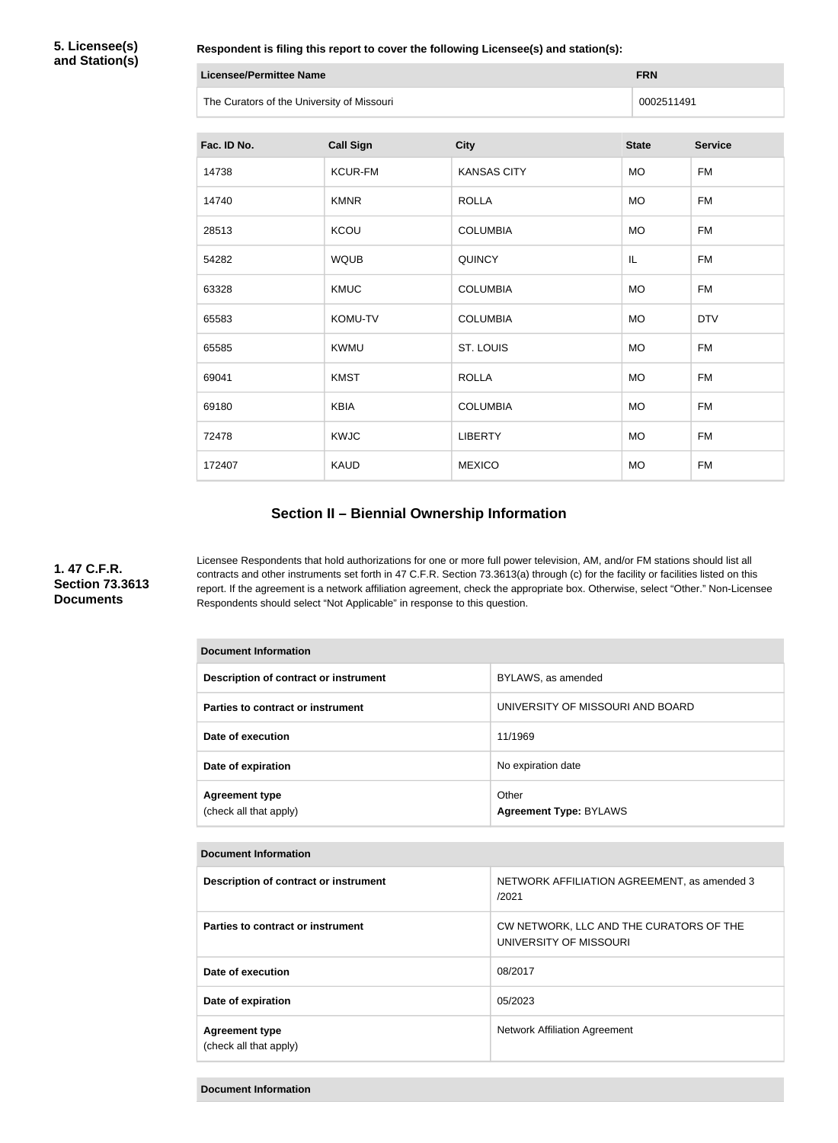**5. Licensee(s) and Station(s)**

**Respondent is filing this report to cover the following Licensee(s) and station(s):**

| Licensee/Permittee Name                    | <b>FRN</b> |
|--------------------------------------------|------------|
| The Curators of the University of Missouri | 0002511491 |

| Fac. ID No. | <b>Call Sign</b> | <b>City</b>        | <b>State</b> | <b>Service</b> |
|-------------|------------------|--------------------|--------------|----------------|
| 14738       | <b>KCUR-FM</b>   | <b>KANSAS CITY</b> | <b>MO</b>    | <b>FM</b>      |
| 14740       | <b>KMNR</b>      | <b>ROLLA</b>       | <b>MO</b>    | FM             |
| 28513       | <b>KCOU</b>      | <b>COLUMBIA</b>    | <b>MO</b>    | <b>FM</b>      |
| 54282       | <b>WQUB</b>      | <b>QUINCY</b>      | IL           | <b>FM</b>      |
| 63328       | <b>KMUC</b>      | <b>COLUMBIA</b>    | <b>MO</b>    | <b>FM</b>      |
| 65583       | KOMU-TV          | <b>COLUMBIA</b>    | <b>MO</b>    | <b>DTV</b>     |
| 65585       | <b>KWMU</b>      | ST. LOUIS          | <b>MO</b>    | <b>FM</b>      |
| 69041       | <b>KMST</b>      | <b>ROLLA</b>       | MO           | <b>FM</b>      |
| 69180       | <b>KBIA</b>      | <b>COLUMBIA</b>    | <b>MO</b>    | <b>FM</b>      |
| 72478       | <b>KWJC</b>      | <b>LIBERTY</b>     | <b>MO</b>    | <b>FM</b>      |
| 172407      | <b>KAUD</b>      | <b>MEXICO</b>      | <b>MO</b>    | <b>FM</b>      |

# **Section II – Biennial Ownership Information**

#### **1. 47 C.F.R. Section 73.3613 Documents**

Licensee Respondents that hold authorizations for one or more full power television, AM, and/or FM stations should list all contracts and other instruments set forth in 47 C.F.R. Section 73.3613(a) through (c) for the facility or facilities listed on this report. If the agreement is a network affiliation agreement, check the appropriate box. Otherwise, select "Other." Non-Licensee Respondents should select "Not Applicable" in response to this question.

| <b>Document Information</b>                     |                                        |  |
|-------------------------------------------------|----------------------------------------|--|
| Description of contract or instrument           | BYLAWS, as amended                     |  |
| Parties to contract or instrument               | UNIVERSITY OF MISSOURI AND BOARD       |  |
| Date of execution                               | 11/1969                                |  |
| Date of expiration                              | No expiration date                     |  |
| <b>Agreement type</b><br>(check all that apply) | Other<br><b>Agreement Type: BYLAWS</b> |  |

#### **Document Information**

| Description of contract or instrument           | NETWORK AFFILIATION AGREEMENT, as amended 3<br>/2021              |
|-------------------------------------------------|-------------------------------------------------------------------|
| Parties to contract or instrument               | CW NETWORK, LLC AND THE CURATORS OF THE<br>UNIVERSITY OF MISSOURI |
| Date of execution                               | 08/2017                                                           |
| Date of expiration                              | 05/2023                                                           |
| <b>Agreement type</b><br>(check all that apply) | <b>Network Affiliation Agreement</b>                              |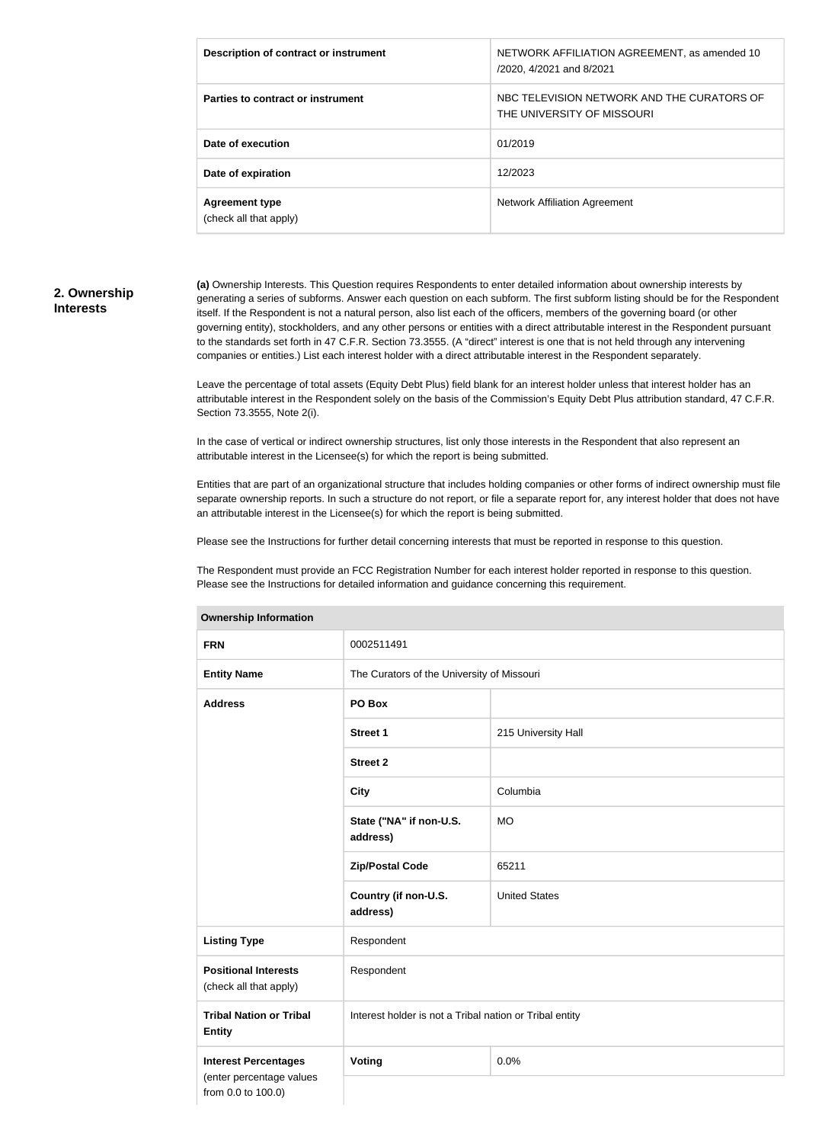| Description of contract or instrument           | NETWORK AFFILIATION AGREEMENT, as amended 10<br>/2020, 4/2021 and 8/2021 |
|-------------------------------------------------|--------------------------------------------------------------------------|
| Parties to contract or instrument               | NBC TELEVISION NETWORK AND THE CURATORS OF<br>THE UNIVERSITY OF MISSOURI |
| Date of execution                               | 01/2019                                                                  |
| Date of expiration                              | 12/2023                                                                  |
| <b>Agreement type</b><br>(check all that apply) | <b>Network Affiliation Agreement</b>                                     |

#### **2. Ownership Interests**

**(a)** Ownership Interests. This Question requires Respondents to enter detailed information about ownership interests by generating a series of subforms. Answer each question on each subform. The first subform listing should be for the Respondent itself. If the Respondent is not a natural person, also list each of the officers, members of the governing board (or other governing entity), stockholders, and any other persons or entities with a direct attributable interest in the Respondent pursuant to the standards set forth in 47 C.F.R. Section 73.3555. (A "direct" interest is one that is not held through any intervening companies or entities.) List each interest holder with a direct attributable interest in the Respondent separately.

Leave the percentage of total assets (Equity Debt Plus) field blank for an interest holder unless that interest holder has an attributable interest in the Respondent solely on the basis of the Commission's Equity Debt Plus attribution standard, 47 C.F.R. Section 73.3555, Note 2(i).

In the case of vertical or indirect ownership structures, list only those interests in the Respondent that also represent an attributable interest in the Licensee(s) for which the report is being submitted.

Entities that are part of an organizational structure that includes holding companies or other forms of indirect ownership must file separate ownership reports. In such a structure do not report, or file a separate report for, any interest holder that does not have an attributable interest in the Licensee(s) for which the report is being submitted.

Please see the Instructions for further detail concerning interests that must be reported in response to this question.

The Respondent must provide an FCC Registration Number for each interest holder reported in response to this question. Please see the Instructions for detailed information and guidance concerning this requirement.

| <b>Ownership Information</b>                                                  |                                                         |                      |  |
|-------------------------------------------------------------------------------|---------------------------------------------------------|----------------------|--|
| <b>FRN</b>                                                                    | 0002511491                                              |                      |  |
| <b>Entity Name</b>                                                            | The Curators of the University of Missouri              |                      |  |
| <b>Address</b>                                                                | PO Box                                                  |                      |  |
|                                                                               | Street 1                                                | 215 University Hall  |  |
|                                                                               | <b>Street 2</b>                                         |                      |  |
|                                                                               | <b>City</b>                                             | Columbia             |  |
|                                                                               | State ("NA" if non-U.S.<br>address)                     | <b>MO</b>            |  |
|                                                                               | <b>Zip/Postal Code</b>                                  | 65211                |  |
|                                                                               | Country (if non-U.S.<br>address)                        | <b>United States</b> |  |
| <b>Listing Type</b>                                                           | Respondent                                              |                      |  |
| <b>Positional Interests</b><br>(check all that apply)                         | Respondent                                              |                      |  |
| <b>Tribal Nation or Tribal</b><br><b>Entity</b>                               | Interest holder is not a Tribal nation or Tribal entity |                      |  |
| <b>Interest Percentages</b><br>(enter percentage values<br>from 0.0 to 100.0) | Voting                                                  | 0.0%                 |  |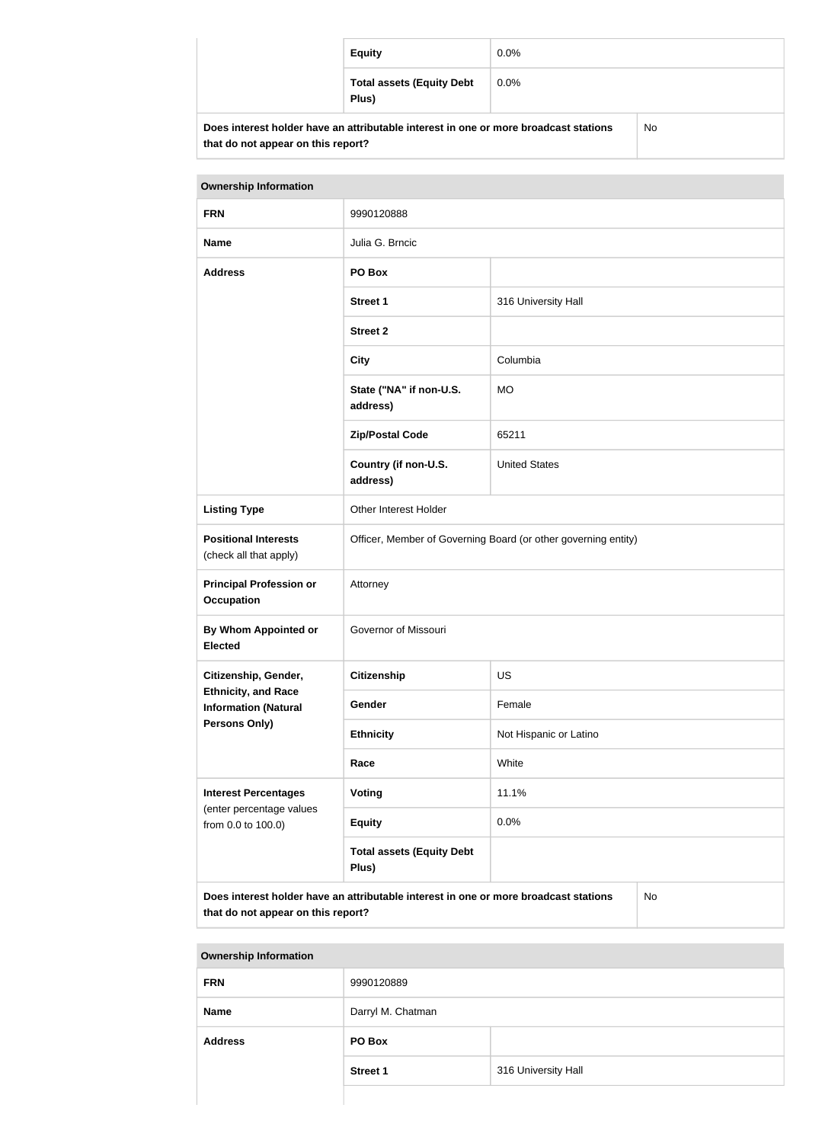|                                                                                            | <b>Equity</b>                             |         |  |
|--------------------------------------------------------------------------------------------|-------------------------------------------|---------|--|
|                                                                                            | <b>Total assets (Equity Debt</b><br>Plus) | $0.0\%$ |  |
| Does interest holder have an attributable interest in one or more broadcast stations<br>No |                                           |         |  |

**that do not appear on this report?**

| <b>Ownership Information</b>                                                                                                            |                                                                |                        |  |
|-----------------------------------------------------------------------------------------------------------------------------------------|----------------------------------------------------------------|------------------------|--|
| <b>FRN</b>                                                                                                                              | 9990120888                                                     |                        |  |
| <b>Name</b>                                                                                                                             | Julia G. Brncic                                                |                        |  |
| <b>Address</b>                                                                                                                          | PO Box                                                         |                        |  |
|                                                                                                                                         | <b>Street 1</b>                                                | 316 University Hall    |  |
|                                                                                                                                         | <b>Street 2</b>                                                |                        |  |
|                                                                                                                                         | <b>City</b>                                                    | Columbia               |  |
|                                                                                                                                         | State ("NA" if non-U.S.<br>address)                            | <b>MO</b>              |  |
|                                                                                                                                         | <b>Zip/Postal Code</b>                                         | 65211                  |  |
|                                                                                                                                         | Country (if non-U.S.<br>address)                               | <b>United States</b>   |  |
| <b>Listing Type</b>                                                                                                                     | Other Interest Holder                                          |                        |  |
| <b>Positional Interests</b><br>(check all that apply)                                                                                   | Officer, Member of Governing Board (or other governing entity) |                        |  |
| <b>Principal Profession or</b><br><b>Occupation</b>                                                                                     | Attorney                                                       |                        |  |
| By Whom Appointed or<br><b>Elected</b>                                                                                                  | Governor of Missouri                                           |                        |  |
| Citizenship, Gender,                                                                                                                    | <b>Citizenship</b>                                             | <b>US</b>              |  |
| <b>Ethnicity, and Race</b><br><b>Information (Natural</b>                                                                               | Gender                                                         | Female                 |  |
| Persons Only)                                                                                                                           | <b>Ethnicity</b>                                               | Not Hispanic or Latino |  |
|                                                                                                                                         | Race                                                           | White                  |  |
| <b>Interest Percentages</b>                                                                                                             | Voting                                                         | 11.1%                  |  |
| (enter percentage values<br>from 0.0 to 100.0)                                                                                          | <b>Equity</b>                                                  | 0.0%                   |  |
|                                                                                                                                         | <b>Total assets (Equity Debt</b><br>Plus)                      |                        |  |
| Does interest holder have an attributable interest in one or more broadcast stations<br><b>No</b><br>that do not appear on this report? |                                                                |                        |  |

| <b>Ownership Information</b> |                   |                     |
|------------------------------|-------------------|---------------------|
| <b>FRN</b>                   | 9990120889        |                     |
| <b>Name</b>                  | Darryl M. Chatman |                     |
| <b>Address</b>               | PO Box            |                     |
|                              | <b>Street 1</b>   | 316 University Hall |
|                              |                   |                     |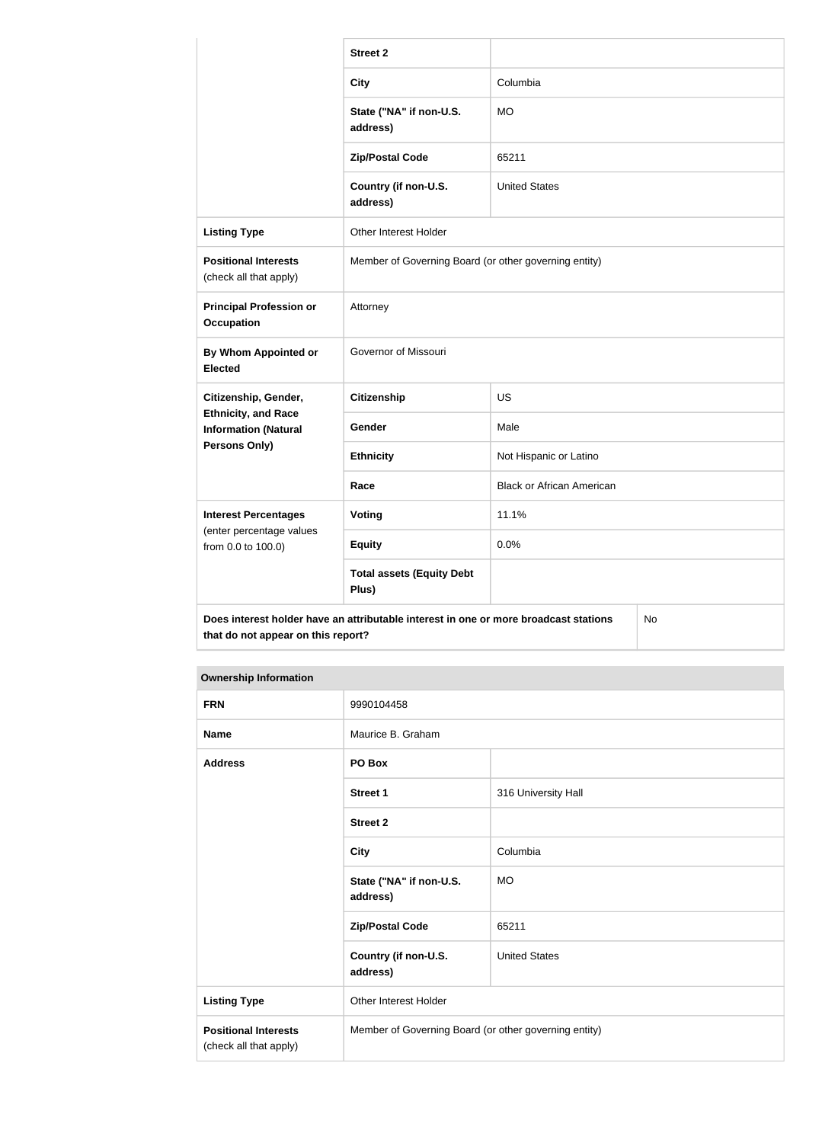|                                                                                                                                  | <b>Street 2</b>                                       |                                  |  |
|----------------------------------------------------------------------------------------------------------------------------------|-------------------------------------------------------|----------------------------------|--|
|                                                                                                                                  | <b>City</b>                                           | Columbia                         |  |
|                                                                                                                                  | State ("NA" if non-U.S.<br>address)                   | <b>MO</b>                        |  |
|                                                                                                                                  | <b>Zip/Postal Code</b>                                | 65211                            |  |
|                                                                                                                                  | Country (if non-U.S.<br>address)                      | <b>United States</b>             |  |
| <b>Listing Type</b>                                                                                                              | Other Interest Holder                                 |                                  |  |
| <b>Positional Interests</b><br>(check all that apply)                                                                            | Member of Governing Board (or other governing entity) |                                  |  |
| <b>Principal Profession or</b><br><b>Occupation</b>                                                                              | Attorney                                              |                                  |  |
| <b>By Whom Appointed or</b><br><b>Elected</b>                                                                                    | Governor of Missouri                                  |                                  |  |
| Citizenship, Gender,                                                                                                             | <b>Citizenship</b>                                    | <b>US</b>                        |  |
| <b>Ethnicity, and Race</b><br><b>Information (Natural</b>                                                                        | Gender                                                | Male                             |  |
| <b>Persons Only)</b>                                                                                                             | <b>Ethnicity</b>                                      | Not Hispanic or Latino           |  |
|                                                                                                                                  | Race                                                  | <b>Black or African American</b> |  |
| <b>Interest Percentages</b>                                                                                                      | Voting                                                | 11.1%                            |  |
| (enter percentage values<br>from 0.0 to 100.0)                                                                                   | <b>Equity</b>                                         | 0.0%                             |  |
|                                                                                                                                  | <b>Total assets (Equity Debt</b><br>Plus)             |                                  |  |
| Does interest holder have an attributable interest in one or more broadcast stations<br>No<br>that do not appear on this report? |                                                       |                                  |  |

#### **Ownership Information**

| <b>FRN</b>                                            | 9990104458                                            |                      |
|-------------------------------------------------------|-------------------------------------------------------|----------------------|
| <b>Name</b>                                           | Maurice B. Graham                                     |                      |
| <b>Address</b>                                        | PO Box                                                |                      |
|                                                       | Street 1                                              | 316 University Hall  |
|                                                       | <b>Street 2</b>                                       |                      |
|                                                       | <b>City</b>                                           | Columbia             |
|                                                       | State ("NA" if non-U.S.<br>address)                   | <b>MO</b>            |
|                                                       | <b>Zip/Postal Code</b>                                | 65211                |
|                                                       | Country (if non-U.S.<br>address)                      | <b>United States</b> |
| <b>Listing Type</b>                                   | Other Interest Holder                                 |                      |
| <b>Positional Interests</b><br>(check all that apply) | Member of Governing Board (or other governing entity) |                      |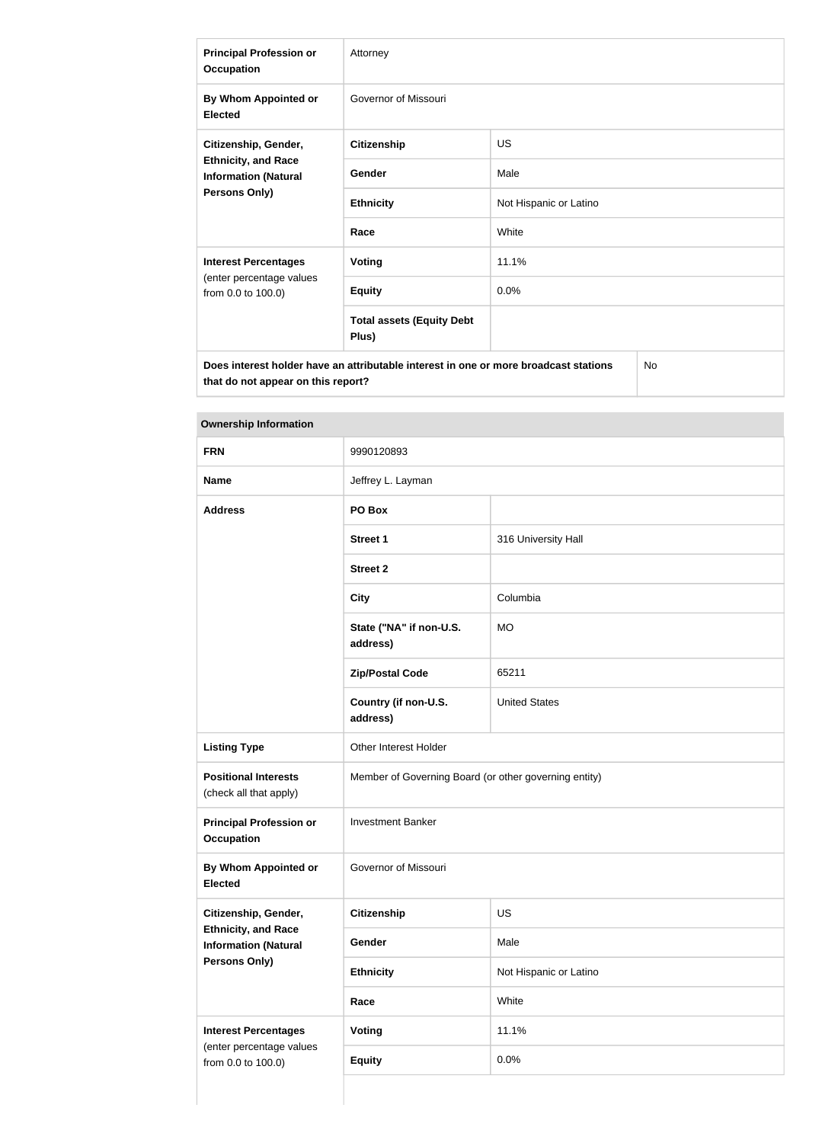| <b>Principal Profession or</b><br><b>Occupation</b>                                                       | Attorney                                  |                        |  |
|-----------------------------------------------------------------------------------------------------------|-------------------------------------------|------------------------|--|
| By Whom Appointed or<br><b>Elected</b>                                                                    | Governor of Missouri                      |                        |  |
| Citizenship, Gender,<br><b>Ethnicity, and Race</b><br><b>Information (Natural</b><br><b>Persons Only)</b> | <b>Citizenship</b>                        | <b>US</b>              |  |
|                                                                                                           | Gender                                    | Male                   |  |
|                                                                                                           | <b>Ethnicity</b>                          | Not Hispanic or Latino |  |
|                                                                                                           | Race                                      | White                  |  |
| <b>Interest Percentages</b>                                                                               | Voting                                    | 11.1%                  |  |
| (enter percentage values<br>from 0.0 to 100.0)                                                            | <b>Equity</b>                             | 0.0%                   |  |
|                                                                                                           | <b>Total assets (Equity Debt</b><br>Plus) |                        |  |
| No<br>Does interest holder have an attributable interest in one or more broadcast stations                |                                           |                        |  |

**Ownership Information**

**that do not appear on this report?**

| <b>FRN</b>                                                | 9990120893                                            |                        |
|-----------------------------------------------------------|-------------------------------------------------------|------------------------|
| <b>Name</b>                                               | Jeffrey L. Layman                                     |                        |
| <b>Address</b>                                            | PO Box                                                |                        |
|                                                           | <b>Street 1</b>                                       | 316 University Hall    |
|                                                           | <b>Street 2</b>                                       |                        |
|                                                           | <b>City</b>                                           | Columbia               |
|                                                           | State ("NA" if non-U.S.<br>address)                   | <b>MO</b>              |
|                                                           | <b>Zip/Postal Code</b>                                | 65211                  |
|                                                           | Country (if non-U.S.<br>address)                      | <b>United States</b>   |
| <b>Listing Type</b>                                       | Other Interest Holder                                 |                        |
| <b>Positional Interests</b><br>(check all that apply)     | Member of Governing Board (or other governing entity) |                        |
| <b>Principal Profession or</b><br><b>Occupation</b>       | <b>Investment Banker</b>                              |                        |
| By Whom Appointed or<br><b>Elected</b>                    | Governor of Missouri                                  |                        |
| Citizenship, Gender,                                      | <b>Citizenship</b>                                    | US                     |
| <b>Ethnicity, and Race</b><br><b>Information (Natural</b> | Gender                                                | Male                   |
| Persons Only)                                             | <b>Ethnicity</b>                                      | Not Hispanic or Latino |
|                                                           | Race                                                  | White                  |
| <b>Interest Percentages</b>                               | <b>Voting</b>                                         | 11.1%                  |
| (enter percentage values<br>from 0.0 to 100.0)            | <b>Equity</b>                                         | 0.0%                   |
|                                                           |                                                       |                        |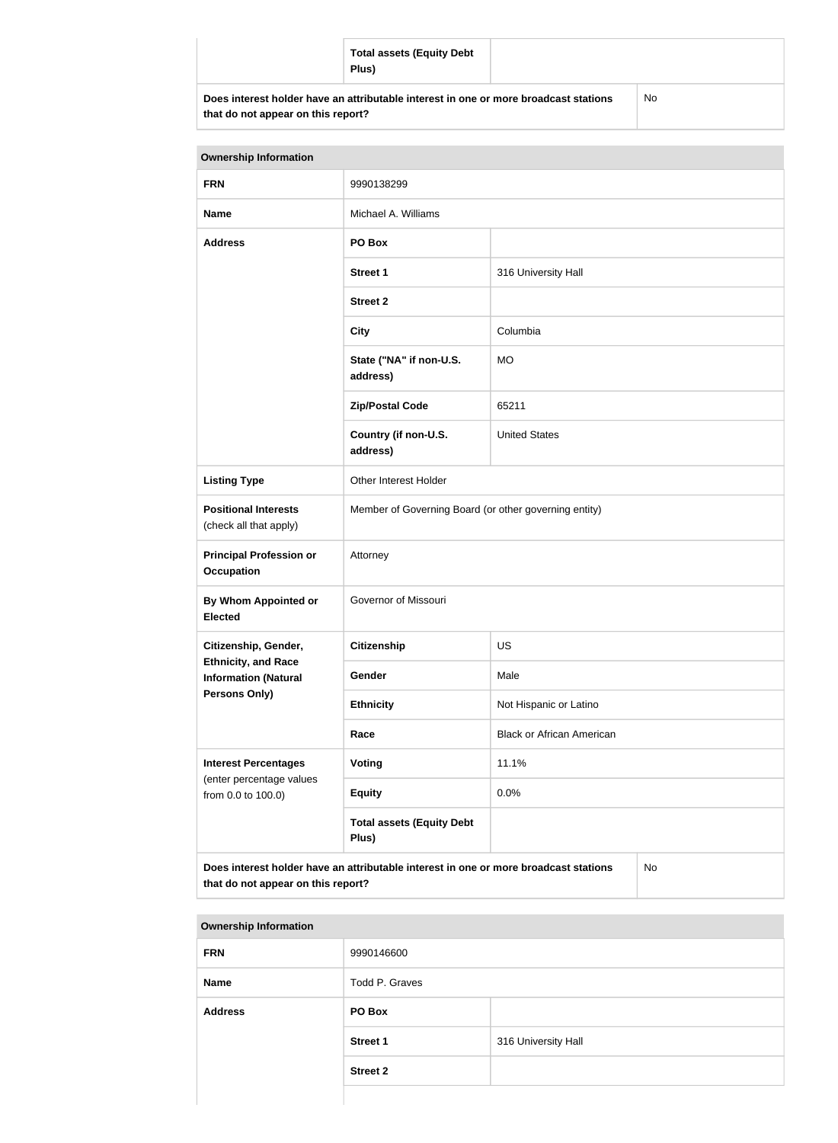|                                                                                                                            | <b>Total assets (Equity Debt</b><br>Plus) |           |
|----------------------------------------------------------------------------------------------------------------------------|-------------------------------------------|-----------|
| Does interest holder have an attributable interest in one or more broadcast stations<br>that do not appear on this report? |                                           | <b>No</b> |

| <b>Ownership Information</b>                                                                                                     |                                                       |                                  |  |
|----------------------------------------------------------------------------------------------------------------------------------|-------------------------------------------------------|----------------------------------|--|
| <b>FRN</b>                                                                                                                       | 9990138299                                            |                                  |  |
| <b>Name</b>                                                                                                                      | Michael A. Williams                                   |                                  |  |
| <b>Address</b>                                                                                                                   | PO Box                                                |                                  |  |
|                                                                                                                                  | <b>Street 1</b>                                       | 316 University Hall              |  |
|                                                                                                                                  | <b>Street 2</b>                                       |                                  |  |
|                                                                                                                                  | <b>City</b>                                           | Columbia                         |  |
|                                                                                                                                  | State ("NA" if non-U.S.<br>address)                   | <b>MO</b>                        |  |
|                                                                                                                                  | <b>Zip/Postal Code</b>                                | 65211                            |  |
|                                                                                                                                  | Country (if non-U.S.<br>address)                      | <b>United States</b>             |  |
| <b>Listing Type</b>                                                                                                              | Other Interest Holder                                 |                                  |  |
| <b>Positional Interests</b><br>(check all that apply)                                                                            | Member of Governing Board (or other governing entity) |                                  |  |
| <b>Principal Profession or</b><br><b>Occupation</b>                                                                              | Attorney                                              |                                  |  |
| By Whom Appointed or<br><b>Elected</b>                                                                                           | Governor of Missouri                                  |                                  |  |
| Citizenship, Gender,                                                                                                             | <b>Citizenship</b>                                    | <b>US</b>                        |  |
| <b>Ethnicity, and Race</b><br><b>Information (Natural</b>                                                                        | Gender                                                | Male                             |  |
| <b>Persons Only)</b>                                                                                                             | <b>Ethnicity</b>                                      | Not Hispanic or Latino           |  |
|                                                                                                                                  | Race                                                  | <b>Black or African American</b> |  |
| <b>Interest Percentages</b>                                                                                                      | <b>Voting</b>                                         | 11.1%                            |  |
| (enter percentage values<br>from 0.0 to 100.0)                                                                                   | <b>Equity</b>                                         | 0.0%                             |  |
|                                                                                                                                  | <b>Total assets (Equity Debt</b><br>Plus)             |                                  |  |
| Does interest holder have an attributable interest in one or more broadcast stations<br>No<br>that do not appear on this report? |                                                       |                                  |  |

| <b>Ownership Information</b> |                 |                     |
|------------------------------|-----------------|---------------------|
| <b>FRN</b>                   | 9990146600      |                     |
| <b>Name</b>                  | Todd P. Graves  |                     |
| <b>Address</b>               | PO Box          |                     |
|                              | <b>Street 1</b> | 316 University Hall |
|                              | <b>Street 2</b> |                     |
|                              |                 |                     |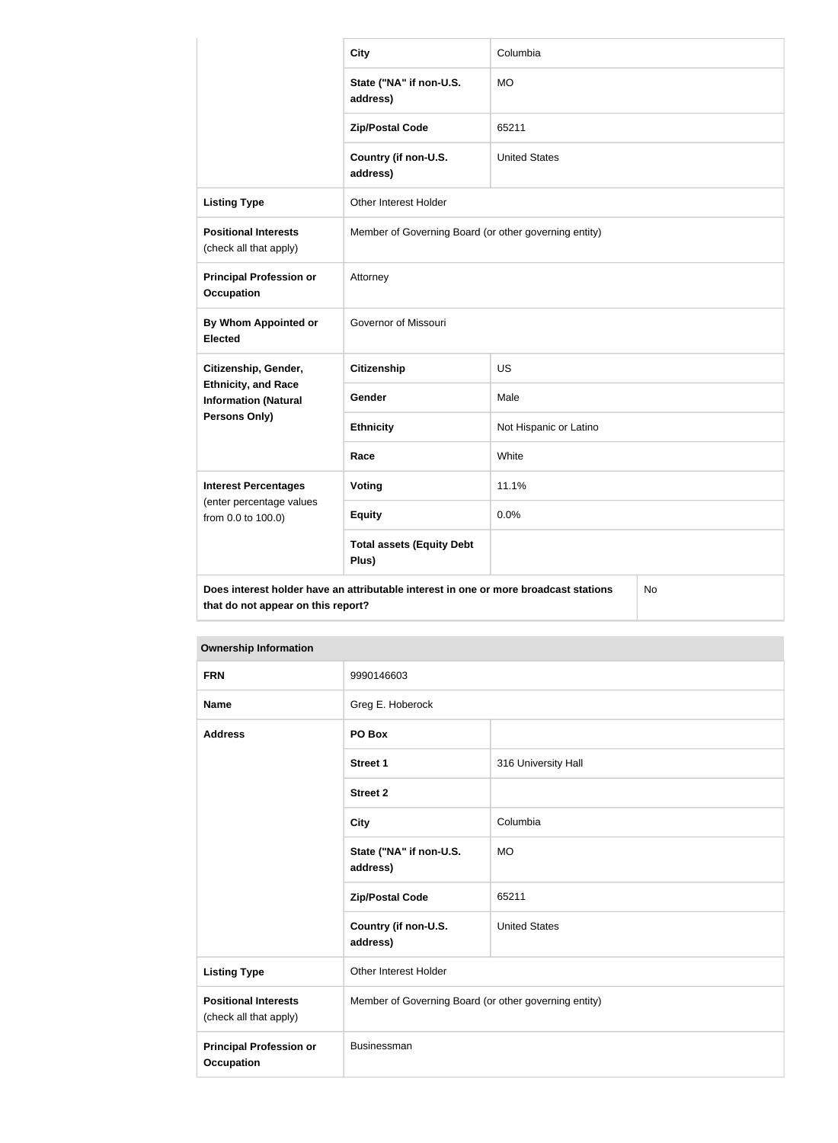|                                                           | <b>City</b>                                                                          | Columbia               |  |
|-----------------------------------------------------------|--------------------------------------------------------------------------------------|------------------------|--|
|                                                           | State ("NA" if non-U.S.<br>address)                                                  | <b>MO</b>              |  |
|                                                           | <b>Zip/Postal Code</b>                                                               | 65211                  |  |
|                                                           | Country (if non-U.S.<br>address)                                                     | <b>United States</b>   |  |
| <b>Listing Type</b>                                       | Other Interest Holder                                                                |                        |  |
| <b>Positional Interests</b><br>(check all that apply)     | Member of Governing Board (or other governing entity)                                |                        |  |
| <b>Principal Profession or</b><br><b>Occupation</b>       | Attorney                                                                             |                        |  |
| <b>By Whom Appointed or</b><br><b>Elected</b>             | Governor of Missouri                                                                 |                        |  |
| Citizenship, Gender,                                      | <b>Citizenship</b>                                                                   | <b>US</b>              |  |
| <b>Ethnicity, and Race</b><br><b>Information (Natural</b> | Gender                                                                               | Male                   |  |
| Persons Only)                                             | <b>Ethnicity</b>                                                                     | Not Hispanic or Latino |  |
|                                                           | Race                                                                                 | White                  |  |
| <b>Interest Percentages</b>                               | Voting                                                                               | 11.1%                  |  |
| (enter percentage values<br>from 0.0 to 100.0)            | <b>Equity</b>                                                                        | 0.0%                   |  |
|                                                           | <b>Total assets (Equity Debt</b><br>Plus)                                            |                        |  |
| that do not appear on this report?                        | Does interest holder have an attributable interest in one or more broadcast stations | No                     |  |

| <b>Ownership Information</b>                          |                                                       |                      |
|-------------------------------------------------------|-------------------------------------------------------|----------------------|
| <b>FRN</b>                                            | 9990146603                                            |                      |
| <b>Name</b>                                           | Greg E. Hoberock                                      |                      |
| <b>Address</b>                                        | PO Box                                                |                      |
|                                                       | <b>Street 1</b>                                       | 316 University Hall  |
|                                                       | <b>Street 2</b>                                       |                      |
|                                                       | <b>City</b>                                           | Columbia             |
|                                                       | State ("NA" if non-U.S.<br>address)                   | <b>MO</b>            |
|                                                       | <b>Zip/Postal Code</b>                                | 65211                |
|                                                       | Country (if non-U.S.<br>address)                      | <b>United States</b> |
| <b>Listing Type</b>                                   | Other Interest Holder                                 |                      |
| <b>Positional Interests</b><br>(check all that apply) | Member of Governing Board (or other governing entity) |                      |
| <b>Principal Profession or</b><br><b>Occupation</b>   | Businessman                                           |                      |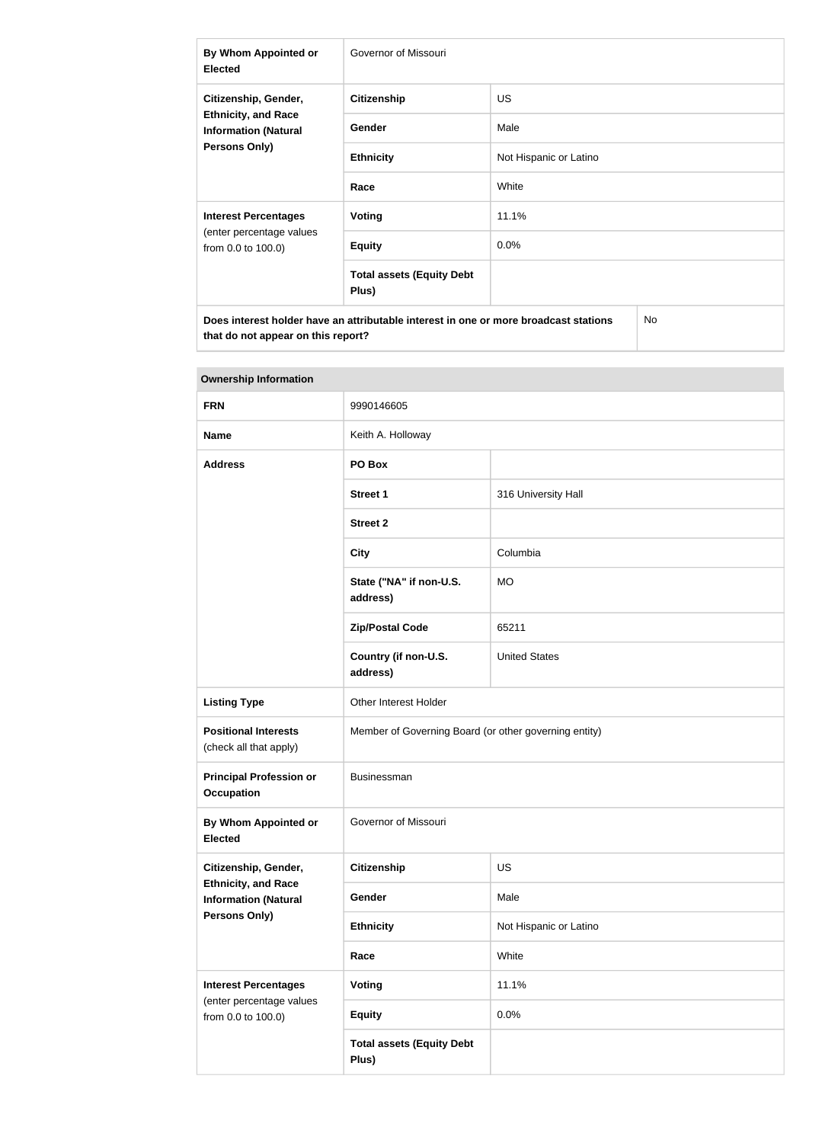| By Whom Appointed or<br><b>Elected</b>                                                                    | Governor of Missouri                      |                        |  |
|-----------------------------------------------------------------------------------------------------------|-------------------------------------------|------------------------|--|
| Citizenship, Gender,<br><b>Ethnicity, and Race</b><br><b>Information (Natural</b><br><b>Persons Only)</b> | <b>Citizenship</b>                        | <b>US</b>              |  |
|                                                                                                           | <b>Gender</b>                             | Male                   |  |
|                                                                                                           | <b>Ethnicity</b>                          | Not Hispanic or Latino |  |
|                                                                                                           | Race                                      | White                  |  |
| <b>Interest Percentages</b><br>(enter percentage values<br>from 0.0 to 100.0)                             | Voting                                    | 11.1%                  |  |
|                                                                                                           | <b>Equity</b>                             | $0.0\%$                |  |
|                                                                                                           | <b>Total assets (Equity Debt</b><br>Plus) |                        |  |
| Does interest holder have an attributable interest in one or more broadcast stations<br>No.               |                                           |                        |  |

| <b>Ownership Information</b>                                                                       |                                                       |                        |  |
|----------------------------------------------------------------------------------------------------|-------------------------------------------------------|------------------------|--|
| <b>FRN</b>                                                                                         | 9990146605                                            |                        |  |
| <b>Name</b>                                                                                        | Keith A. Holloway                                     |                        |  |
| <b>Address</b>                                                                                     | PO Box                                                |                        |  |
|                                                                                                    | <b>Street 1</b>                                       | 316 University Hall    |  |
|                                                                                                    | <b>Street 2</b>                                       |                        |  |
|                                                                                                    | <b>City</b>                                           | Columbia               |  |
|                                                                                                    | State ("NA" if non-U.S.<br>address)                   | <b>MO</b>              |  |
|                                                                                                    | <b>Zip/Postal Code</b>                                | 65211                  |  |
|                                                                                                    | Country (if non-U.S.<br>address)                      | <b>United States</b>   |  |
| <b>Listing Type</b>                                                                                | Other Interest Holder                                 |                        |  |
| <b>Positional Interests</b><br>(check all that apply)                                              | Member of Governing Board (or other governing entity) |                        |  |
| <b>Principal Profession or</b><br><b>Occupation</b>                                                | Businessman                                           |                        |  |
| <b>By Whom Appointed or</b><br><b>Elected</b>                                                      | Governor of Missouri                                  |                        |  |
| Citizenship, Gender,<br><b>Ethnicity, and Race</b><br><b>Information (Natural</b><br>Persons Only) | <b>Citizenship</b>                                    | <b>US</b>              |  |
|                                                                                                    | Gender                                                | Male                   |  |
|                                                                                                    | <b>Ethnicity</b>                                      | Not Hispanic or Latino |  |
|                                                                                                    | Race                                                  | White                  |  |
| <b>Interest Percentages</b><br>(enter percentage values<br>from 0.0 to 100.0)                      | Voting                                                | 11.1%                  |  |
|                                                                                                    | <b>Equity</b>                                         | 0.0%                   |  |
|                                                                                                    | <b>Total assets (Equity Debt</b><br>Plus)             |                        |  |

# **Tara**

**that do not appear on this report?**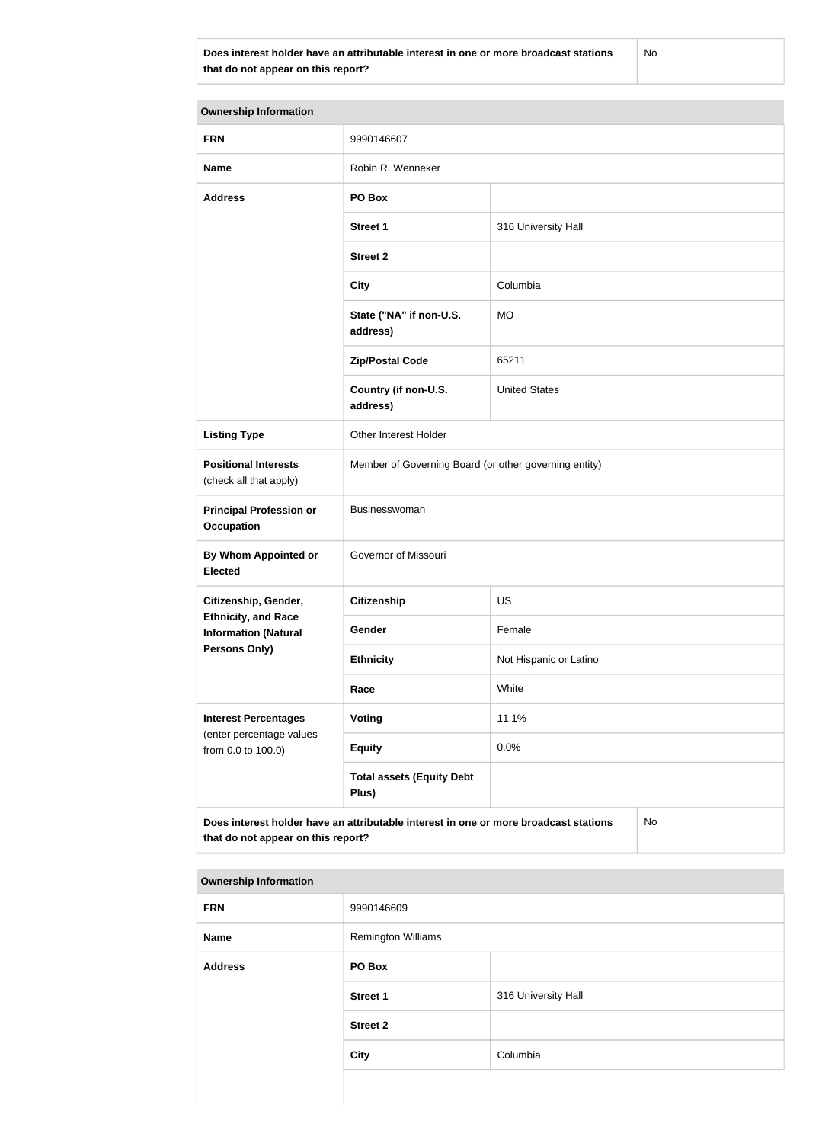**Does interest holder have an attributable interest in one or more broadcast stations that do not appear on this report?**

No

| <b>Ownership Information</b>                                                      |                                                                                      |                        |  |  |
|-----------------------------------------------------------------------------------|--------------------------------------------------------------------------------------|------------------------|--|--|
| <b>FRN</b>                                                                        | 9990146607                                                                           |                        |  |  |
| <b>Name</b>                                                                       | Robin R. Wenneker                                                                    |                        |  |  |
| <b>Address</b>                                                                    | PO Box                                                                               |                        |  |  |
|                                                                                   | <b>Street 1</b>                                                                      | 316 University Hall    |  |  |
|                                                                                   | <b>Street 2</b>                                                                      |                        |  |  |
|                                                                                   | <b>City</b>                                                                          | Columbia               |  |  |
|                                                                                   | State ("NA" if non-U.S.<br>address)                                                  | <b>MO</b>              |  |  |
|                                                                                   | <b>Zip/Postal Code</b>                                                               | 65211                  |  |  |
|                                                                                   | Country (if non-U.S.<br>address)                                                     | <b>United States</b>   |  |  |
| <b>Listing Type</b>                                                               | Other Interest Holder                                                                |                        |  |  |
| <b>Positional Interests</b><br>(check all that apply)                             | Member of Governing Board (or other governing entity)                                |                        |  |  |
| <b>Principal Profession or</b><br><b>Occupation</b>                               | Businesswoman                                                                        |                        |  |  |
| By Whom Appointed or<br><b>Elected</b>                                            | Governor of Missouri                                                                 |                        |  |  |
| Citizenship, Gender,                                                              | <b>Citizenship</b>                                                                   | US                     |  |  |
| <b>Ethnicity, and Race</b><br><b>Information (Natural</b><br><b>Persons Only)</b> | Gender                                                                               | Female                 |  |  |
|                                                                                   | <b>Ethnicity</b>                                                                     | Not Hispanic or Latino |  |  |
|                                                                                   | Race                                                                                 | White                  |  |  |
| <b>Interest Percentages</b><br>(enter percentage values<br>from 0.0 to 100.0)     | <b>Voting</b>                                                                        | 11.1%                  |  |  |
|                                                                                   | <b>Equity</b>                                                                        | 0.0%                   |  |  |
|                                                                                   | <b>Total assets (Equity Debt</b><br>Plus)                                            |                        |  |  |
| that do not appear on this report?                                                | Does interest holder have an attributable interest in one or more broadcast stations | No                     |  |  |

#### **Ownership Information**

| <b>FRN</b>     | 9990146609                |                     |
|----------------|---------------------------|---------------------|
| <b>Name</b>    | <b>Remington Williams</b> |                     |
| <b>Address</b> | PO Box                    |                     |
|                | <b>Street 1</b>           | 316 University Hall |
|                | <b>Street 2</b>           |                     |
|                | <b>City</b>               | Columbia            |
|                |                           |                     |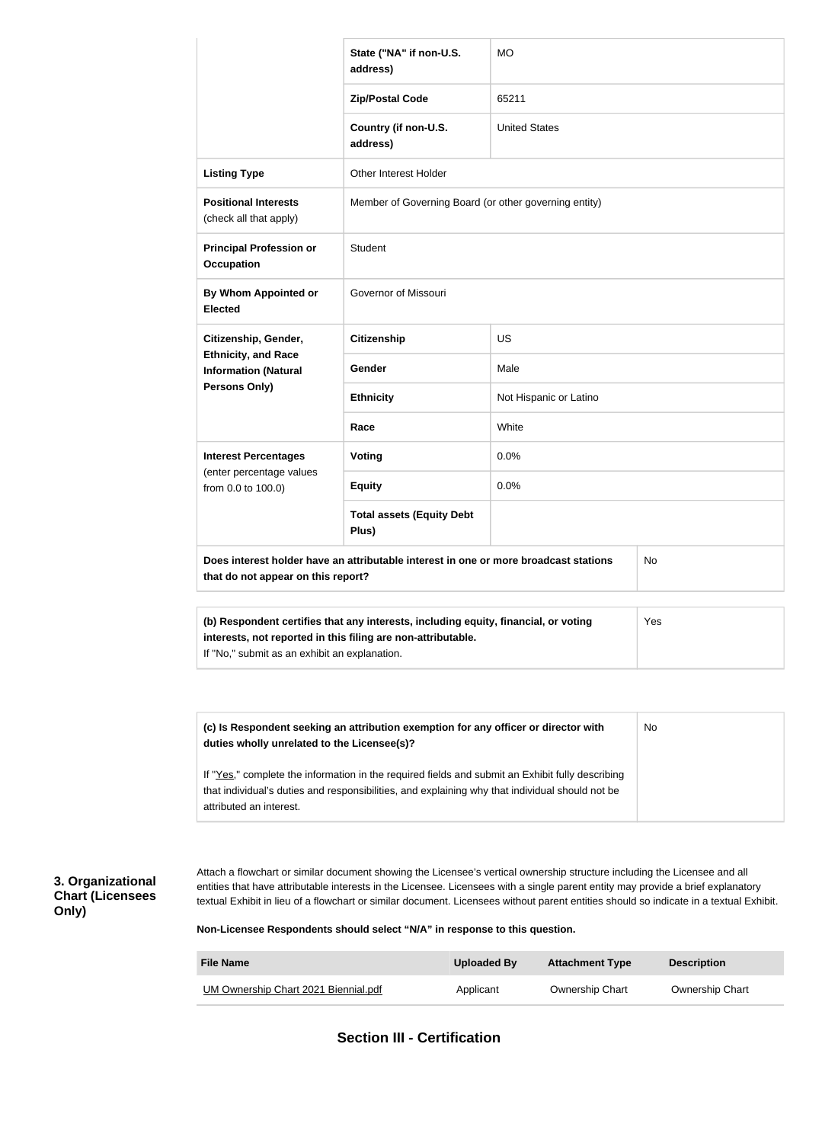|                                                           | State ("NA" if non-U.S.<br>address)                                                                                                                 | <b>MO</b>                                                                                        |           |  |
|-----------------------------------------------------------|-----------------------------------------------------------------------------------------------------------------------------------------------------|--------------------------------------------------------------------------------------------------|-----------|--|
|                                                           | <b>Zip/Postal Code</b>                                                                                                                              | 65211                                                                                            |           |  |
|                                                           | Country (if non-U.S.<br>address)                                                                                                                    | <b>United States</b>                                                                             |           |  |
| <b>Listing Type</b>                                       | <b>Other Interest Holder</b>                                                                                                                        |                                                                                                  |           |  |
| <b>Positional Interests</b><br>(check all that apply)     | Member of Governing Board (or other governing entity)                                                                                               |                                                                                                  |           |  |
| <b>Principal Profession or</b><br><b>Occupation</b>       | Student                                                                                                                                             |                                                                                                  |           |  |
| By Whom Appointed or<br><b>Elected</b>                    | Governor of Missouri                                                                                                                                |                                                                                                  |           |  |
| Citizenship, Gender,                                      | <b>Citizenship</b>                                                                                                                                  | US                                                                                               |           |  |
| <b>Ethnicity, and Race</b><br><b>Information (Natural</b> | Gender                                                                                                                                              | Male                                                                                             |           |  |
| Persons Only)                                             | <b>Ethnicity</b>                                                                                                                                    | Not Hispanic or Latino                                                                           |           |  |
|                                                           | Race                                                                                                                                                | White                                                                                            |           |  |
| <b>Interest Percentages</b>                               | <b>Voting</b>                                                                                                                                       | 0.0%                                                                                             |           |  |
| (enter percentage values<br>from 0.0 to 100.0)            | <b>Equity</b>                                                                                                                                       | 0.0%                                                                                             |           |  |
|                                                           | <b>Total assets (Equity Debt</b><br>Plus)                                                                                                           |                                                                                                  |           |  |
| that do not appear on this report?                        | Does interest holder have an attributable interest in one or more broadcast stations                                                                |                                                                                                  | No        |  |
| If "No," submit as an exhibit an explanation.             | (b) Respondent certifies that any interests, including equity, financial, or voting<br>interests, not reported in this filing are non-attributable. |                                                                                                  | Yes       |  |
|                                                           |                                                                                                                                                     |                                                                                                  |           |  |
| duties wholly unrelated to the Licensee(s)?               | (c) Is Respondent seeking an attribution exemption for any officer or director with                                                                 |                                                                                                  | <b>No</b> |  |
|                                                           |                                                                                                                                                     | If "Yes," complete the information in the required fields and submit an Exhibit fully describing |           |  |

### **3. Organizational Chart (Licensees Only)**

Attach a flowchart or similar document showing the Licensee's vertical ownership structure including the Licensee and all entities that have attributable interests in the Licensee. Licensees with a single parent entity may provide a brief explanatory textual Exhibit in lieu of a flowchart or similar document. Licensees without parent entities should so indicate in a textual Exhibit.

**Non-Licensee Respondents should select "N/A" in response to this question.**

| <b>File Name</b>                            | Uploaded By | <b>Attachment Type</b> | <b>Description</b>     |
|---------------------------------------------|-------------|------------------------|------------------------|
| <b>UM Ownership Chart 2021 Biennial.pdf</b> | Applicant   | <b>Ownership Chart</b> | <b>Ownership Chart</b> |